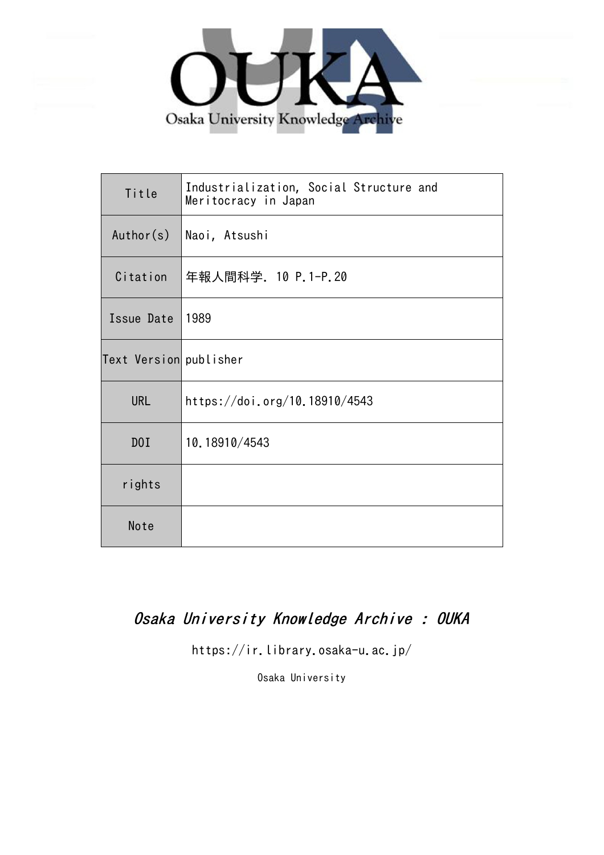

| Title                  | Industrialization, Social Structure and<br>Meritocracy in Japan |
|------------------------|-----------------------------------------------------------------|
| Author(s)              | Naoi, Atsushi                                                   |
| Citation               | 年報人間科学. 10 P.1-P.20                                             |
| Issue Date             | 1989                                                            |
| Text Version publisher |                                                                 |
| <b>URL</b>             | https://doi.org/10.18910/4543                                   |
| DOI                    | 10.18910/4543                                                   |
| rights                 |                                                                 |
| Note                   |                                                                 |

### Osaka University Knowledge Archive : OUKA

https://ir.library.osaka-u.ac.jp/

Osaka University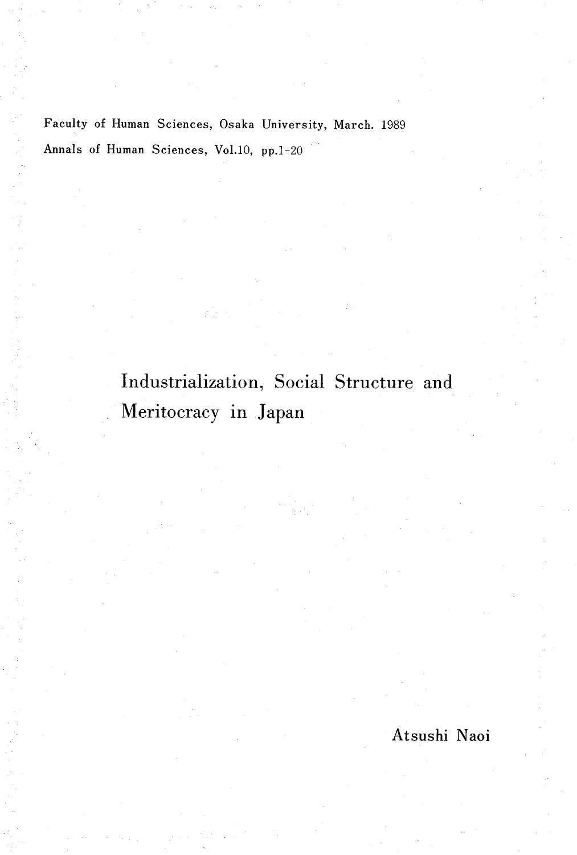Faculty of Human Sciences, Osaka University, March. 1989 Annals of Human Sciences, Vol.10, pp.1-20

# Industrialization, Social Structure and Meritocracy in Japan

Atsushi Naoi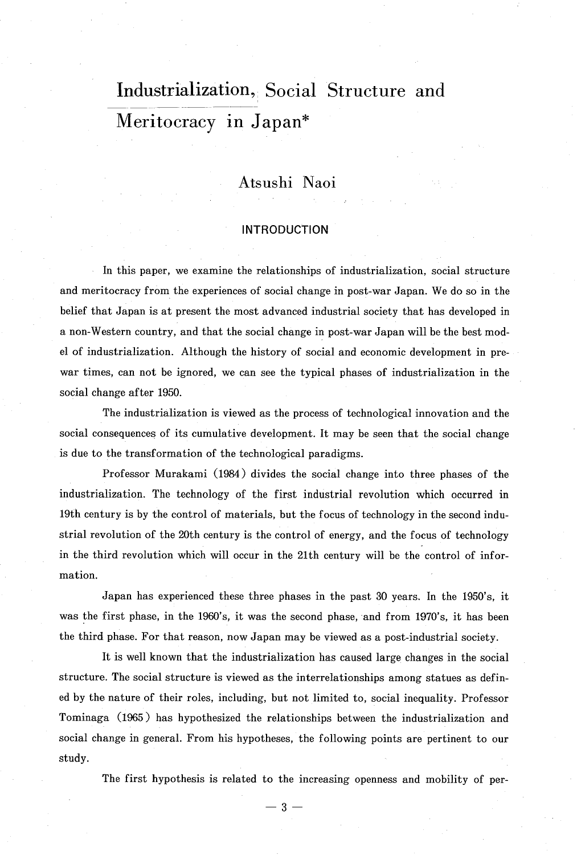## Industrialization, Social Structure and Meritocracy in Japan\*

### Atsushi Naoi

#### INTRODUCTION

In this paper, we examine the relationships of industrialization, social structur and meritocracy from the experiences of social change in post-war Japan. We do so in the belief that Japan is at present the most advanced industrial society that has developed in a non-Western country, and that the social change in post-war Japan will be the best model of industrialization. Although the history of social and economic development in prewar times, can not be ignored, we can see the typical phases of industrialization in the social change after 1950.

The industrialization is viewed as the process of technological innovation and the social consequences of its cumulative development. It may be seen that the social change is due to the transformation of the technological paradigms.

Professor Murakami (1984) divides the social change into three phases of the industrialization. The technology of the first industrial revolution which occurred in 19th century is by the control of materials, but the focus of technology in the second industrial revolution of the 20th century is the control of energy, and the focus of technology in the third revolution which will occur in the 21th century will be the control of information.

 Japan has experienced these three phases in the past 30 years. In the 1950's, it was the first phase, in the 1960's, it was the second phase, and from 1970's, it has been the third phase. For that reason, now Japan may be viewed as a post-industrial society.

It is well known that the industrialization has caused large changes in the social structure. The social structure is viewed as the interrelationships among statues as defined by the nature of their roles, including, but not limited to, social inequality. Professor Tominaga (1965 ) has hypothesized the relationships between the industrialization and social change in general. From his hypotheses, the following points are pertinent to our study.

The first hypothesis is related to the increasing openness and mobility of per-

 $3 -$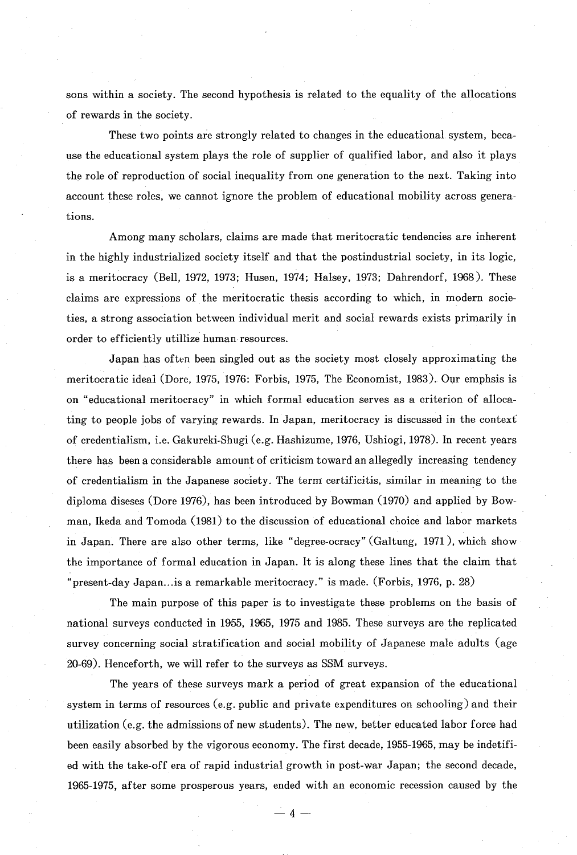sons within a society. The second hypothesis is related to the equality of the allocations of rewards in the society.

These two points are strongly related to changes in the educational system, because the educational system plays the role of supplier of qualified labor, and also it plays the role of reproduction of social inequality from one generation to the next. Taking into account these roles, we cannot ignore the problem of educational mobility across generations.

 Among many scholars, claims are made that meritocratic tendencies are inherent in the highly industrialized society itself and that the postindustrial society, in its logic, is a meritocracy (Bell, 1972, 1973; Husen, 1974; Halsey, 1973; Dahrendorf, 1968). These claims are expressions of the meritocratic thesis according to which, in modern societies, a strong association between individual merit and social rewards exists primarily in order to efficiently utillize human resources.

Japan has often been singled out as the society most closely approximating the meritocratic ideal (Dore, 1975, 1976: Forbis, 1975, The Economist, 1983). Our emphsis is on "educational meritocracy" in which formal education serves as a criterion of allocating to people jobs of varying rewards. In Japan, meritocracy is discussed in the contexf of credentialism, i.e. Gakureki-Shugi (e.g. Hashizurne, 1976, Ushiogi, 1978). In recent years there has been a considerable amount of criticism toward an allegedly increasing tendency of credentialism in the Japanese society. The term certificitis, similar in meaning to the diploma diseses (Dore 1976), has been introduced by Bowman (1970) and applied by Bowman, Ikeda and Tomoda (1981) to the discussion of educational choice and labor markets in Japan. There are also other terms, like "degree-ocracy" (Galtung, 1971 ), which show the importance of formal education in Japan. It is along these lines that the claim that "present -day Japan ... is a remarkable meritocracy." is made. (Forbis, 1976, p. 28)

The main purpose of this paper is to investigate these problems on the basis of national surveys conducted in 1955, 1965, 1975 and 1985. These surveys are the replicated survey concerning social stratification and social mobility of Japanese male adults (age 20-69). Henceforth, we will refer to the surveys as SSM surveys.

The years of these surveys mark a period of great expansion of the educational system in terms of resources (e.g. public and private expenditures on schooling) and their utilization (e.g. the admissions of new students). The new, better educated labor force had been easily absorbed by the vigorous economy. The first decade, 1955-1965, may be indetified with the take-off era of rapid industrial growth in post-war Japan; the second decade, 1965-1975, after some prosperous years, ended with an economic recession caused by the

 $- 4 -$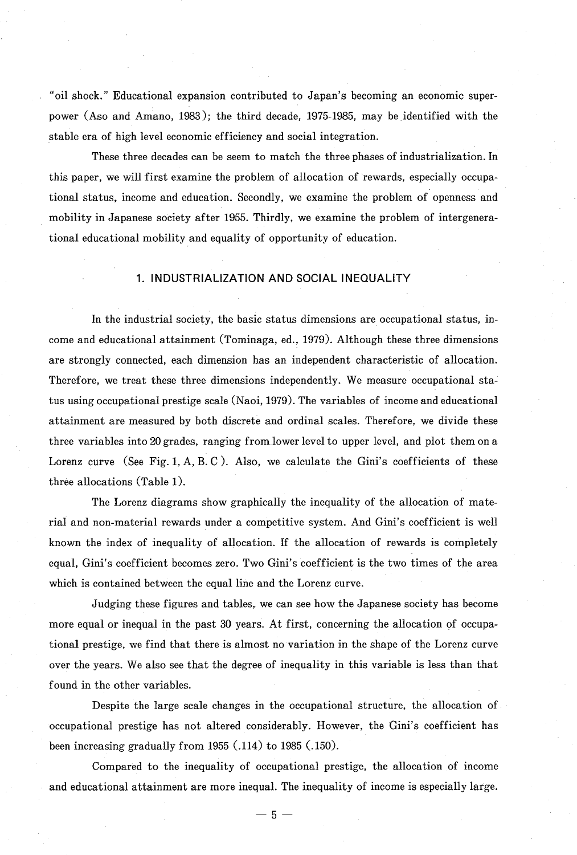"oil shock ." Educational expansion contributed to Japan's becoming an economic superpower (Aso and Amano, 1983); the third decade, 1975-1985, may be identified with the stable era of high level economic efficiency and social integration.

These three decades can be seem to match the three phases of industrialization. In this paper, we will first examine the problem of allocation of rewards, especially occupational status, income and education. Secondly, we examine the problem of openness and mobility in Japanese society after 1955. Thirdly, we examine the problem of intergenerational educational mobility and equality of opportunity of education.

#### 1. INDUSTRIALIZATION AND SOCIAL INEQUALITY

In the industrial society, the basic status dimensions are occupational status, income and educational attainment (Tominaga, ed., 1979). Although these three dimensions are strongly connected, each dimension has an independent characteristic of allocation. Therefore, we treat these three dimensions independently. We measure occupational status using occupational prestige scale (Naoi, 1979). The variables of income and educational attainment are measured by both discrete and ordinal scales. Therefore, we divide these three variables into 20 grades, ranging from lower level to upper level, and plot them on a Lorenz curve (See Fig. 1, A, B, C). Also, we calculate the Gini's coefficients of these three allocations (Table 1).

The Lorenz diagrams show graphically the inequality of the allocation of material and non-material rewards under a competitive system. And Gini's coefficient is well known the index of inequality of allocation. If the allocation of rewards is completely equal, Gini's coefficient becomes zero. Two Gini's coefficient is the two times of the area which is contained between the equal line and the Lorenz curve.

Judging these figures and tables, we can see how theJapanese society has become more equal or inequal in the past 30 years. At first, concerning the allocation of occupational prestige, we find that there is almost no variation in the shape of the Lorenz curve over the years. We also see that the degree of inequality in this variable is less than that found in the other variables.

Despite the large scale changes in the occupational structure, the allocation of occupational prestige has not altered considerably. However, the Gini's coefficient has been increasing gradually from 1955 (.114) to 1985 (.150).

Compared to the inequality of occupational prestige, the allocation of income and educational attainment are more inequal. The inequality of income is especially large.

 $-5-$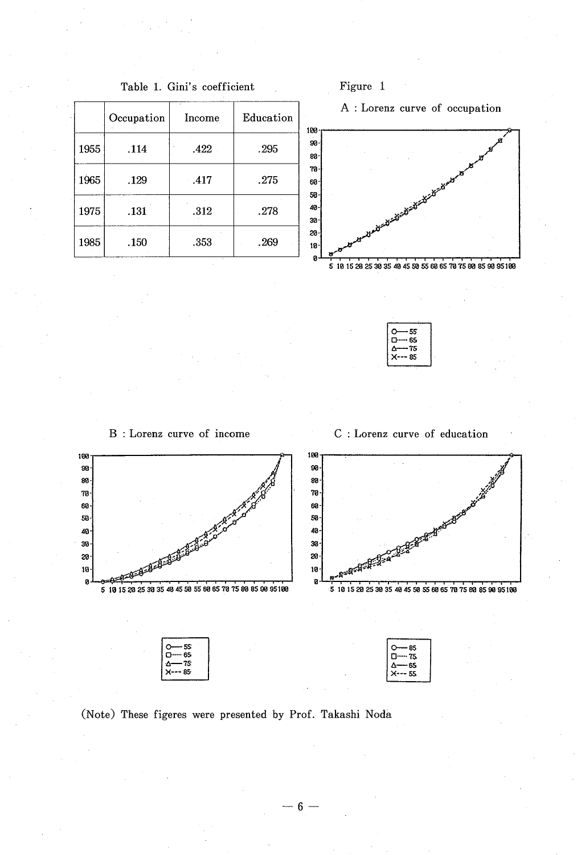|      | Occupation | Income | Education |
|------|------------|--------|-----------|
| 1955 | .114       | .422   | .295      |
| 1965 | .129       | .417   | .275      |
| 1975 | .131       | .312   | .278      |
| 1985 | .150       | .353   | .269      |

Table 1. Gini's coefficient



A : Lorenz curve of occupation



| 55       |
|----------|
| 65<br>٠. |
| 75       |
| 85       |
|          |

B : Lorenz curve of income C : Lorenz curve of education



(Note) These figeres were presented by Prof. Takashi Noda

-6-6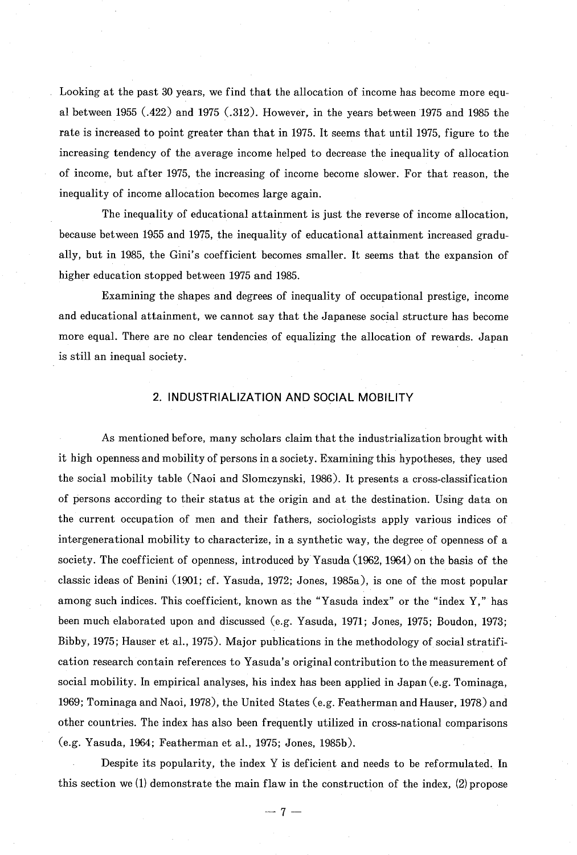Looking at the past 30 years, we find that the allocation of income has become more equal between 1955 (.422) and 1975 (.312). However, in the years between 1975 and 1985 the rate is increased to point greater than that in 1975. It seems that until 1975, figure to the increasing tendency of the average income helped to decrease the inequality of allocation of income, but after 1975, the increasing of income become slower. For that reason, the inequality of income allocation becomes large again.

The inequality of educational attainment is just the reverse of income allocation, because between 1955 and 1975, the inequality of educational attainment increased gradually, but in 1985, the Gini's coefficient becomes smaller. It seems that the expansion of higher education stopped between 1975 and 1985.

Examining the shapes and degrees of inequality of occupational prestige, income and educational attainment, we cannot say that the Japanese social structure has become more equal. There are no clear tendencies of equalizing the allocation of rewards. Japan is still an inequal society.

#### 2. INDUSTRIALIZATION AND SOCIAL MOBILITY

 As mentioned before, many scholars claim that the industrialization brought with it high openness and mobility of persons in a society. Examining this hypotheses, they used the social mobility table (Naoi and Slomczynski, 1986). It presents a cross-classification of persons according to their status at the origin and at the destination. Using data on the current occupation of men and their fathers, sociologists apply various indices of intergenerational mobility to characterize, in a synthetic way, the degree of openness of a society. The coefficient of openness, introduced by Yasuda (1962, 1964) on the basis of the classic ideas of Benini (1901; cf. Yasuda, 1972; Jones, 1985a), is one of the most popular among such indices. This coefficient, known as the "Yasuda index" or the "index Y," has been much elaborated upon and discussed (e.g. Yasuda, 1971; Jones, 1975; Boudon, 1973; Bibby, 1975; Hauser et al., 1975). Major publications in the methodology of social stratification research contain references to Yasuda's original contribution to the measurement of social mobility. In empirical analyses, his index has been applied in Japan (e.g. Tominaga, 1969; Tominaga and Naoi, 1978), the United States (e.g. Featherman and Hauser, 1978) and other countries. The index has also been frequently utilized in cross-national comparisons (e.g. Yasuda, 1964; Featherman et al., 1975; Jones, 1985b).

Despite its popularity, the index Y is deficient and needs to be reformulated. In this section we (1) demonstrate the main flaw in the construction of the index, (2) propose

 $- 7 -$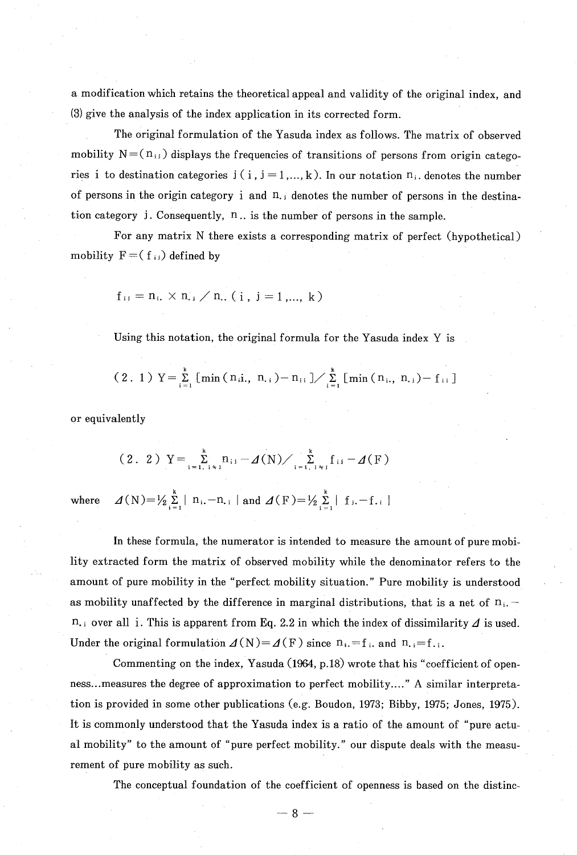a modification which retains the theoretical appeal and validity of the original index, and (3) give the analysis of the index application in its corrected form.

The original formulation of the Yasuda index as follows. The matrix of observed mobility  $N = (n_{ij})$  displays the frequencies of transitions of persons from origin categories i to destination categories  $j$  (  $i$  ,  $j = 1, ..., k$  ). In our notation  $n_i$ , denotes the number of persons in the origin category i and n. i denotes the number of persons in the destination category j. Consequently, n.. is the number of persons in the sample.

For any matrix N there exists a corresponding matrix of perfect (hypothetical) mobility  $F = (f_{ij})$  defined by

$$
f_{ij} = n_i, \times n_{ij} / n_{i}
$$
. (i, j = 1, ..., k)

Using this notation, the original formula for the Yasuda index Y is

$$
(2. 1) Y = \sum_{i=1}^{k} [ \min (n_{i1}, n_{i}) - n_{i1} ] / \sum_{i=1}^{k} [ \min (n_{i}, n_{i}) - f_{i1} ]
$$

or equivalently

$$
(2. 2) Y = \sum_{i=1, i \times j}^{k} n_{i,j} - \Delta(N) / \sum_{i=1, i \times j}^{k} f_{i,j} - \Delta(F)
$$
  
re  $\Delta(N) = \frac{1}{2} \sum_{i=1}^{k} |n_{i} - n_{i}|$  and  $\Delta(F) = \frac{1}{2} \sum_{i=1}^{k} |f_{i} - f_{i}|$ 

where

In these formula, the numerator is intended to measure the amount of pure mobility extracted form the matrix of observed mobility while the denominator refers to the amount of pure mobility in the "perfect mobility situation." Pure mobility is understood as mobility unaffected by the difference in marginal distributions, that is a net of  $n_i$ . n., over all i. This is apparent from Eq. 2.2 in which the index of dissimilarity  $\Delta$  is used. Under the original formulation  $\Delta(N) = \Delta(F)$  since  $n_i = f_i$ , and  $n_{i} = f_{i+1}$ .

Commenting on the index, Yasuda (1964, p. 18) wrote that his "coefficient of openness... measures the degree of approximation to perfect mobility....." A similar interpretation is provided in some other publications (e.g. Boudon, 1973; Bibby, 1975; Jones, 1975). It is commonly understood that the Yasuda index is a ratio of the amount of "pure actual mobility" to the amount of "pure perfect mobility." our dispute deals with the measurement of pure mobility as such.

The conceptual foundation of the coefficient of openness is based on the distinc-

 $-8-$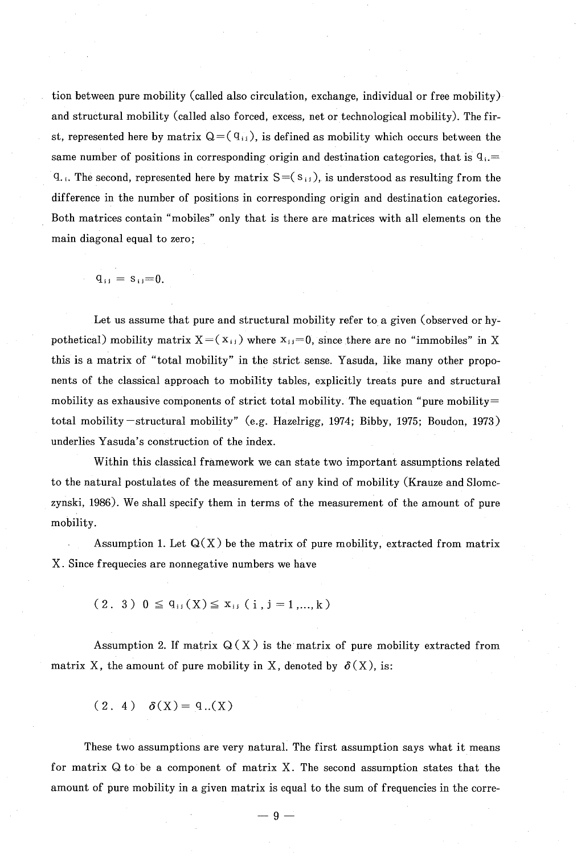tion between pure mobility (called also circulation, exchange, individual or free mobility) and structural mobility (called also forced, excess, net or technological mobility). The first, represented here by matrix  $Q = (q_{ij})$ , is defined as mobility which occurs between the same number of positions in corresponding origin and destination categories, that is  $q_i =$  $q_{\text{A}}$ . The second, represented here by matrix  $S = (s_{ij})$ , is understood as resulting from the difference in the number of positions in corresponding origin and destination categories. Both matrices contain "mobiles" only that is there are matrices with all elements on the main diagonal equal to zero;

$$
q_{ij} = s_{ij} = 0.
$$

 Let us assume that pure and structural mobility refer to a given (observed or hypothetical) mobility matrix  $X=(x_{ij})$  where  $x_{ij}=0$ , since there are no "immobiles" in X this is a matrix of "total mobility" in the strict sense. Yasuda, like many other proponents of the classical approach to mobility tables, explicitly treats pure and structural mobility as exhausive components of strict total mobility. The equation "pure mobility= total mobility -structural mobility" (e.g. Hazelrigg, 1974; Bibby, 1975; Boudon, 1973) underlies Yasuda's construction of the index.

Within this classical framework we can state two important assumptions related to the natural postulates of the measurement of any kind of mobility (Krauze and Slomczynski, 1986). We shall specify them in terms of the measurement of the amount of pure mobility.

Assumption 1. Let  $Q(X)$  be the matrix of pure mobility, extracted from matrix X. Since frequecies are nonnegative numbers we have

 $(2. 3)$   $0 \leq q_{ij}(X) \leq x_{ij}$   $(i, j = 1, ..., k)$ 

matrix X, the amount of pure mobility in X, denoted by  $\delta(X)$ , is: Assumption 2. If matrix  $Q(X)$  is the matrix of pure mobility extracted from

 $(2, 4)$   $\delta(X) = 9...(X)$ 

 These two assumptions are very natural. The first assumption says what it means for matrix  $Q$  to be a component of matrix X. The second assumption states that the amount of pure mobility in a given matrix is equal to the sum of frequencies in the corre-

 $-9-$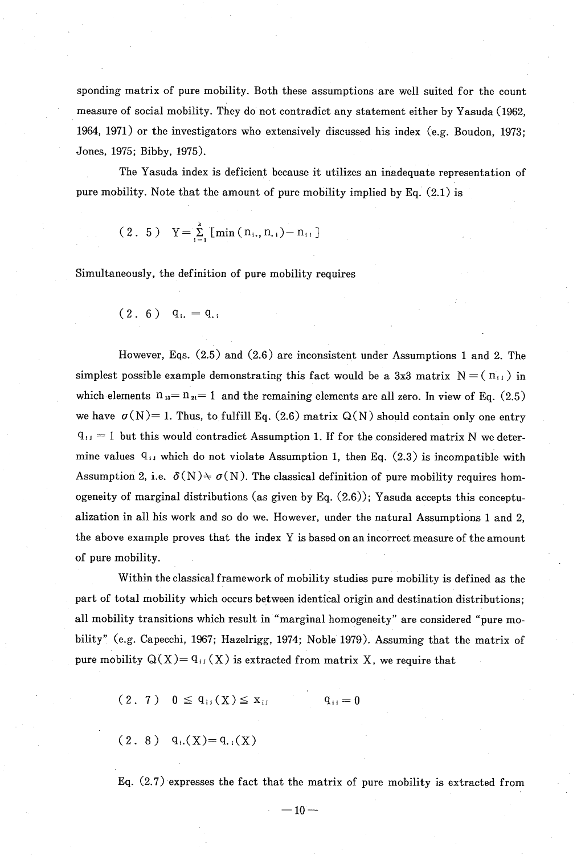sponding matrix of pure mobility. Both these assumptions are well suited for the count measure of social mobility. They do not contradict any statement either by Yasuda (1962, 1964, 1971) or the investigators who extensively discussed his index (e.g. Boudon, 1973; Jones, 1975; Bibby, 1975).

The Yasuda index is deficient because it utilizes an inadequate representation of pure mobility. Note that the amount of pure mobility implied by Eq. (2.1) is

$$
(2. 5) Y = \sum_{i=1}^{k} [min (n_{i.}, n_{i.}) - n_{i.}]
$$

Simultaneously, the definition of pure mobility requires

$$
(2. 6)
$$
  $q_{i.} = q_{.i}$ 

However, Eqs. (2.5) and (2.6) are inconsistent under Assumptions 1 and 2. The simplest possible example demonstrating this fact would be a 3x3 matrix  $N = (n_{ij})$  in which elements  $n_{13} = n_{21} = 1$  and the remaining elements are all zero. In view of Eq. (2.5) we have  $\sigma(N)= 1$ . Thus, to fulfill Eq. (2.6) matrix  $Q(N)$  should contain only one entry  $q_{ij} = 1$  but this would contradict Assumption 1. If for the considered matrix N we determine values  $q_{ij}$  which do not violate Assumption 1, then Eq. (2.3) is incompatible with Assumption 2, i.e.  $\delta(N) \neq \sigma(N)$ . The classical definition of pure mobility requires homogeneity of marginal distributions (as given by Eq.  $(2.6)$ ); Yasuda accepts this conceptualization in all his work and so do we. However, under the natural Assumptions 1 and 2, the above example proves that the index Y is based on an incorrect measure of the amount of pure mobility.

 Within the classical framework of mobility studies pure mobility is defined as the part of total mobility which occurs between identical origin and destination distributions; all mobility transitions which result in "marginal homogeneity" are considered "pure mobility" (e.g. Capecchi, 1967; Hazelrigg, 1974; Noble 1979). Assuming that the matrix of pure mobility  $Q(X) = q_{ij}(X)$  is extracted from matrix X, we require that

$$
(2. 7) 0 \leq q_{ij}(X) \leq x_{ij} \qquad q_{ij} = 0
$$

 $(2. 8)$  q<sub>i</sub>.(X)=q<sub>i</sub>(X)

Eq. (2.7) expresses the fact that the matrix of pure mobility is extracted from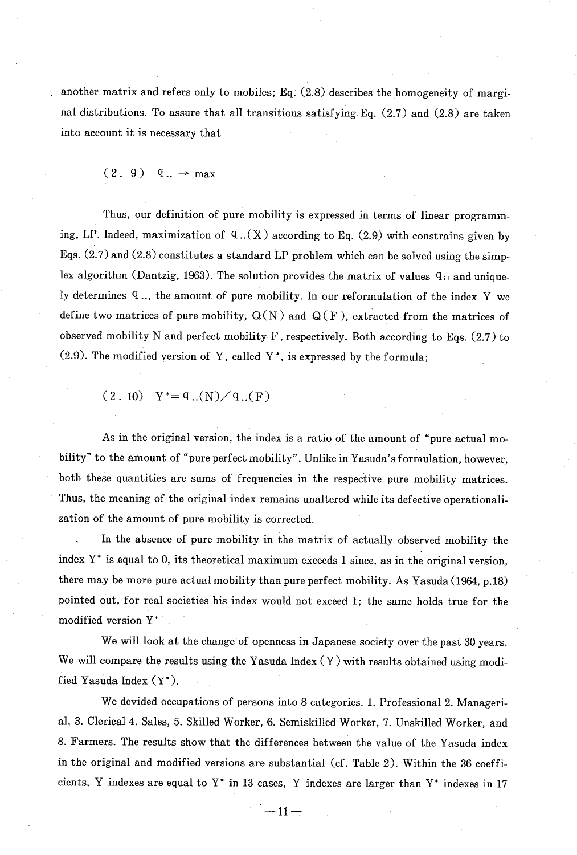another matrix and refers only to mobiles; Eq. (2.8) describes the homogeneity of marginal distributions. To assure that all transitions satisfying Eq. (2.7) and (2.8) are taken into account it is necessary that

 $(2. 9)$  q..  $\rightarrow$  max

 Thus, our definition of pure mobility is expressed in terms of linear programming, LP. Indeed, maximization of  $q:(X)$  according to Eq. (2.9) with constrains given by Eqs.  $(2.7)$  and  $(2.8)$  constitutes a standard LP problem which can be solved using the simplex algorithm (Dantzig, 1963). The solution provides the matrix of values  $q_{ij}$  and uniquely determines q.., the amount of pure mobility. In our reformulation of the index Y we define two matrices of pure mobility,  $Q(N)$  and  $Q(F)$ , extracted from the matrices of observed mobility N and perfect mobility F, respectively. Both according to Eqs. (2.7) to  $(2.9)$ . The modified version of Y, called Y<sup>\*</sup>, is expressed by the formula;

 $(2. 10) Y^* = q$ ..(N)/q..(F)

 As in the original version, the index is a ratio of the amount of "pure actual mobility" to the amount of "pure perfect mobility". Unlike in Yasuda's formulation, however, both these quantities are sums of frequencies in the respective pure mobility matrices . Thus, the meaning of the original index remains unaltered while its defective operationalization of the amount of pure mobility is corrected.

In the absence of pure mobility in the matrix of actually observed mobility the index Y\* is equal to 0, its theoretical maximum exceeds 1 since, as in the original version, there may be more pure actual mobility than pure perfect mobility. As Yasuda (1964, p.18) pointed out, for real societies his index would not exceed 1; the same holds true for the modified version Y'

We will look at the change of openness in Japanese society over the past 30 years. We will compare the results using the Yasuda Index  $(Y)$  with results obtained using modified Yasuda Index (Y\*).

We devided occupations of persons into 8 categories. 1. Professional 2. Managerial, 3. Clerical 4. Sales, 5. Skilled Worker, 6. Semiskilled Worker, 7. Unskilled Worker, and 8. Farmers. The results show that the differences between the value of the Yasuda index in the original and modified versions are substantial (cf. Table 2). Within the 36 coefficients, Y indexes are equal to Y\* in 13 cases, Y indexes are larger than Y\* indexes in 17

> .  $-11-$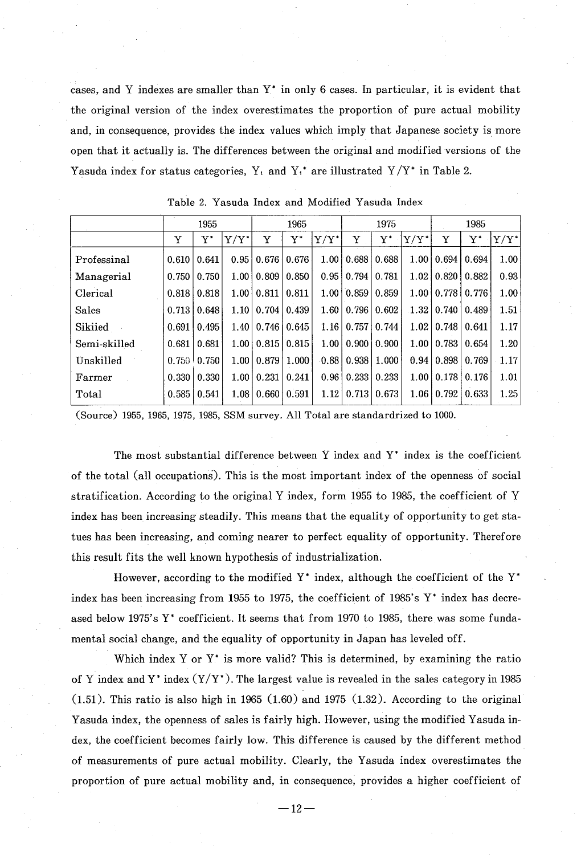cases, and Y indexes are smaller than  $Y^*$  in only 6 cases. In particular, it is evident that the original version of the index overestimates the proportion of pure actual mobility and, in consequence, provides the index values which imply that Japanese society is more open that it actually is. The differences between the original and modified versions of the Yasuda index for status categories, Y<sub>i</sub> and Y<sub>i</sub><sup>\*</sup> are illustrated Y/Y<sup>\*</sup> in Table 2.

|              | 1955  |       |                   | 1965               |                   |         | 1975                         |       |                   | 1985              |                    |         |
|--------------|-------|-------|-------------------|--------------------|-------------------|---------|------------------------------|-------|-------------------|-------------------|--------------------|---------|
|              | Y     | Y*    | $Y/Y^*$           | Y                  | ${\rm Y}^*$       | $Y/Y^*$ | Y                            | Y*    | $Y/Y^*$           | Y                 | $\mathbf{Y}^*$     | $Y/Y^*$ |
| Professinal  | 0.610 | 0.641 | 0.951             | 0.676   0.676      |                   |         | $1.00 \mid 0.688 \mid$       | 0.688 |                   | $1.00 \mid 0.694$ | 0.694              | 1.00    |
| Managerial   | 0.750 | 0.750 | 1.00 <sub>1</sub> | 0.809              | 0.850             |         | $0.95 \mid 0.794$            | 0.781 | 1.02 <sub>1</sub> | 0.820             | 0.882              | 0.93    |
| Clerical     | 0.818 | 0.818 | 1.00 <sup>1</sup> | 0.811              | 0.811             |         | 1.00   0.859                 | 0.859 | 1.00 <sub>1</sub> | $0.778$ 0.776     |                    | 1.00    |
| Sales        | 0.713 | 0.648 |                   | 1.10   0.704       | 0.439             |         | 1.60   0.796                 | 0.602 | 1.32              | 0.740             | 0.489              | 1.51    |
| Sikiied      | 0.691 | 0.495 | 1.40              |                    | $0.746$   $0.645$ |         | $1.16 \mid 0.757 \mid 0.744$ |       | 1.02              | 0.748             | 0.641              | 1.17    |
| Semi-skilled | 0.681 | 0.681 | 1.00 <sub>1</sub> | 0.815              | 0.815             |         | $1.00 \mid 0.900 \mid 0.900$ |       | 1.00              | 0.783             | 0.654              | 1.20    |
| Unskilled    | 0.750 | 0.750 | 1.00 <sub>l</sub> | 0.879 <sup>1</sup> | 1.000             |         | $0.88$   $0.938$             | 1.000 | 0.94              | 0.898             | 0.769              | 1.17    |
| Farmer       | 0.330 | 0.330 | 1.00              | 0.231              | 0.241             |         | $0.96 \mid 0.233 \mid$       | 0.233 | 1.00 <sub>1</sub> |                   | $0.178 \mid 0.176$ | 1.01    |
| Total        | 0.585 | 0.541 | 1.08              |                    | 0.660   0.591     |         | $1.12$   0.713               | 0.673 | 1.06              | 0.792             | 0.633              | 1.25    |

Table 2. Yasuda Index and Modified Yasuda Index

(Source) 1955, 1965, 1975, 1985, SSM survey. All Total are standardrized to 1000.

The most substantial difference between Y index and  $Y^*$  index is the coefficient of the total (all occupations). This is the most important index of the openness of social stratification. According to the original Y index, form 1955 to 1985, the coefficient of Y index has been increasing steadily. This means that the equality of opportunity to get statues has been increasing, and coming nearer to perfect equality of opportunity. Therefore this result fits the well known hypothesis of industrialization.

However, according to the modified  $Y^*$  index, although the coefficient of the  $Y^*$ index has been increasing from 1955 to 1975, the coefficient of 1985's  $Y^*$  index has decreased below 1975's Y\* coefficient. It seems that from 1970 to 1985, there was some fundamental social change, and the equality of opportunity in Japan has leveled off.

Which index Y or  $Y^*$  is more valid? This is determined, by examining the ratio of Y index and Y \* index  $(Y/Y^*)$ . The largest value is revealed in the sales category in 1985  $(1.51)$ . This ratio is also high in 1965  $(1.60)$  and 1975  $(1.32)$ . According to the original Yasuda index, the openness of sales is fairly high. However, using the modified Yasuda index, the coefficient becomes fairly low. This difference is caused by the different method of measurements of pure actual mobility. Clearly, the Yasuda index overestimates the proportion of pure actual mobility and, in consequence, provides a higher coefficient of

 $-12-$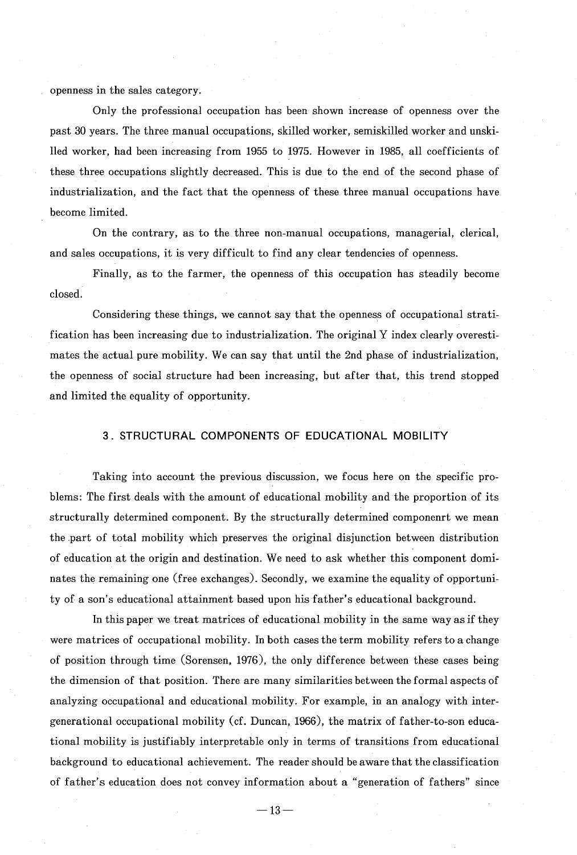openness in the sales category.

Only the professional occupation has been shown increase of openness over the past 30 years. The three manual occupations, skilled worker, semiskilled worker and unskilled worker, had been increasing from 1955 to 1975. However in 1985, all coefficients of these three occupations slightly decreased. This is due to the end of the second phase of industrialization, and the fact that the openness of these three manual occupations have become limited.

 On the contrary, as to the three non-manual occupations, managerial, clerical, and sales occupations, it is very difficult to find any clear tendencies of openness.

Finally, as to the farmer, the openness of this occupation has steadily become closed.

 Considering these things, we cannot say that the openness of occupational stratification has been increasing due to industrialization. The original Y index clearly overestimates the actual pure mobility. We can say that until the 2nd phase of industrialization, the openness of social structure had been increasing, but after that, this trend stopped and limited the equality of opportunity.

#### 3. STRUCTURAL COMPONENTS OF EDUCATIONAL MOBILITY

 Taking into account the previous discussion, we focus here on the specific problems: The first deals with the amount of educational mobility and the proportion of its structurally determined component. By the structurally determined componenrt we mean the -part of total mobility which preserves the original disjunction between distribution of education at the origin and destination. We need to ask whether this component dominates the remaining one (free exchanges). Secondly, we examine the equality of opportunity of a son's educational attainment based upon his father's educational background.

In this paper we treat matrices of educational mobility in the same way as if they were matrices of occupational mobility. In both cases the term mobility refers to a change of position through time (Sorensen, 1976), the only difference between these cases being the dimension of that position. There are many similarities between the formal aspects of analyzing occupational and educational mobility. For example, in an analogy with intergenerational occupational mobility (cf. Duncan, 1966), the matrix of father-to-son educational mobility is justifiably interpretable only in terms of transitions from educational background to educational achievement. The reader should be aware that the classification of father's education does not convey information about a "generation of fathers" since

 $-13-$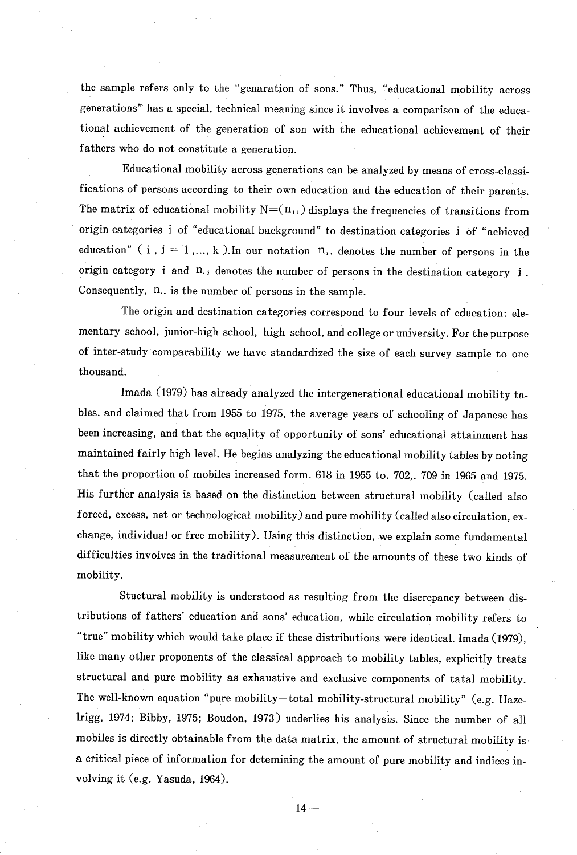the sample refers only to the "genaration of sons." Thus , "educational mobility across generations" has a special, technical meaning since it involves a comparison of the educational achievement of the generation of son with the educational achievement of their fathers who do not constitute a generation.

Educational mobility across generations can be analyzed by means of cross-classifications of persons according to their own education and the education of their parents . The matrix of educational mobility  $N = (n_{ij})$  displays the frequencies of transitions from origin categories i of "educational background" to destination categories i of "achieved education" ( i ,  $i = 1, ..., k$  ).In our notation  $n_i$ , denotes the number of persons in the origin category  $i$  and  $n_{i}$ , denotes the number of persons in the destination category  $j$ . Consequently, n.. is the number of persons in the sample.

The origin and destination categories correspond to four levels of education: elementary school, junior-high school, high school, and college or university. For the purpose of inter-study comparability we have standardized the size of each survey sample to one thousand.

 Imada (1979) has already analyzed the intergenerational educational mobility tables, and claimed that from 1955 to 1975, the average years of schooling of Japanese has been increasing, and that the equality of opportunity of sons' educational attainment has maintained fairly high level. He begins analyzing the educational mobility tables by noting that the proportion of mobiles increased form. 618 in 1955 to. 702,. 709 in 1965 and 1975. His further analysis is based on the distinction between structural mobility (called also forced, excess, net or technological mobility) and pure mobility (called also circulation, exchange, individual or free mobility). Using this distinction, we explain some fundamental difficulties involves in the traditional measurement of the amounts of these two kinds of mobility.

 Stuctural mobility is understood as resulting from the discrepancy between distributions of fathers' education and sons' education, while circulation mobility refers to "true" mobility which would take place if these distributions were identical. Imada (1979) , like many other proponents of the classical approach to mobility tables, explicitly treat. structural and pure mobility as exhaustive and exclusive components of tatal mobility . The well-known equation "pure mobility=total mobility-structural mobility" (e.g. Hazelrigg, 1974; Bibby, 1975; Boudon, 1973) underlies his analysis . Since the number of all mobiles is directly obtainable from the data matrix, the amount of structural mobility is a critical piece of information for deternining the amount of pure mobility and indices involving it (e.g. Yasuda, 1964).

 $-14-$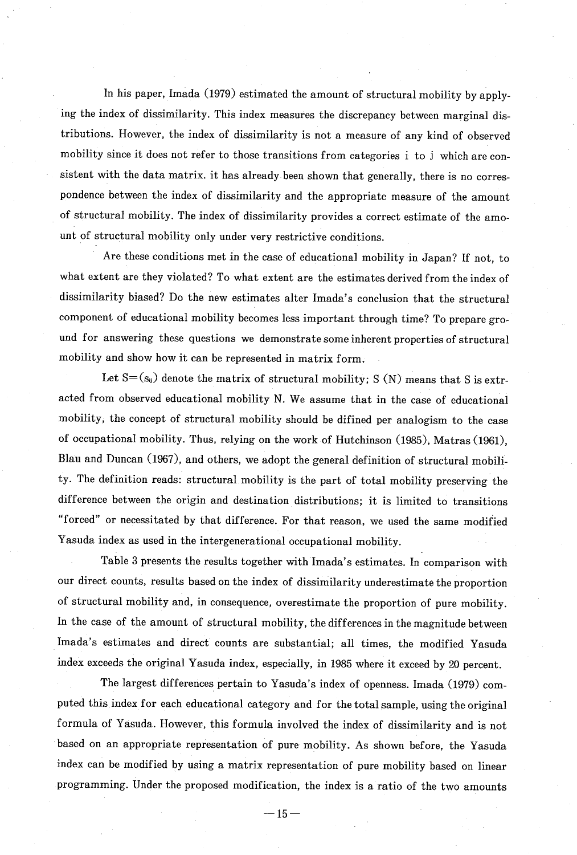In his paper, Imada (1979) estimated the amount of structural mobility by applying the index of dissimilarity. This index measures the discrepancy between marginal distributions. However, the index of dissimilarity is not a measure of any kind of observed mobility since it does not refer to those transitions from categories i to i which are consistent with the data matrix. it has already been shown that generally, there is no correspondence between the index of dissimilarity and the appropriate measure of the amount of structural mobility. The index of dissimilarity provides a correct estimate of the amount of structural mobility only under very restrictive conditions.

Are these conditions met in the case of educational mobility in Japan? If not , to what extent are they violated? To what extent are the estimates derived from the index of dissimilarity biased? Do the new estimates alter Imada's conclusion that the structural component of educational mobility becomes less important through time? To prepare ground for answering these questions we demonstrate some inherent properties of structural mobility and show how it can be represented in matrix form .

Let  $S = (s_{ij})$  denote the matrix of structural mobility; S (N) means that S is extracted from observed educational mobility N. We assume that in the case of educational mobility, the concept of structural mobility should be difined per analogism to the case of occupational mobility. Thus, relying on the work of Hutchinson (1985) , Matras (1961), Blau and Duncan (1967), and others, we adopt the general definition of structural mobility. The definition reads: structural mobility is the part of total mobility preserving the difference between the origin and destination distributions; it is limited to transitions "forced" or necessitated by that differenc e. For that reason, we used the same modified Yasuda index as used in the intergenerational occupational mobility.

Table 3 presents the results together with Imada's estimates. In comparison with our direct counts, results based on the index of dissimilarity underestimate the proportion of structural mobility and, in consequence, overestimate the proportion of pure mobility . In the case of the amount of structural mobility, the differences in the magnitude between Imada's estimates and direct counts are substantial; all times , the modified Yasuda index exceeds the original Yasuda index, especially, in 1985 where it exceed by 20 percent .

The largest differences pertain to Yasuda's index of openness. Imada (1979) computed this index for each educational category and for the total sample, using the original formula of Yasuda. However, this formula involved the index of dissimilarity and is not based on an appropriate representation of pure mobility. As shown before , the Yasuda index can be modified by using a matrix representation of pure mobility based on linear programming. Under the proposed modification, the index is a ratio of the two amounts

 $-15-$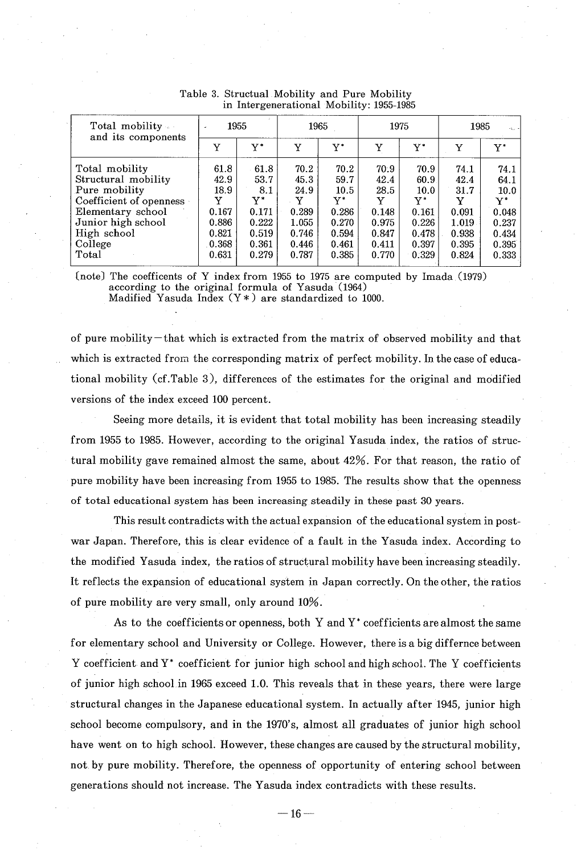| Total mobility<br>and its components                                                                                                                            | 1955<br>$\overline{\phantom{a}}$                                       |                                                                        |                                                                        | 1965                                                                    |                                                                        | 1975                                                                    | 1985<br>$-2.1$                                                         |                                                                         |  |
|-----------------------------------------------------------------------------------------------------------------------------------------------------------------|------------------------------------------------------------------------|------------------------------------------------------------------------|------------------------------------------------------------------------|-------------------------------------------------------------------------|------------------------------------------------------------------------|-------------------------------------------------------------------------|------------------------------------------------------------------------|-------------------------------------------------------------------------|--|
|                                                                                                                                                                 | Y                                                                      | ${\rm Y}^*$                                                            | Y                                                                      | ${\rm Y}^*$                                                             | Y                                                                      | Y*                                                                      | Y                                                                      | v*                                                                      |  |
| Total mobility<br>Structural mobility<br>Pure mobility<br>Coefficient of openness<br>Elementary school<br>Junior high school<br>High school<br>College<br>Total | 61.8<br>42.9<br>18.9<br>Y<br>0.167<br>0.886<br>0.821<br>0.368<br>0.631 | 61.8<br>53.7<br>8.1<br>v*<br>0.171<br>0.222<br>0.519<br>0.361<br>0.279 | 70.2<br>45.3<br>24.9<br>Y<br>0.289<br>1.055<br>0.746<br>0.446<br>0.787 | 70.2<br>59.7<br>10.5<br>v*<br>0.286<br>0.270<br>0.594<br>0.461<br>0.385 | 70.9<br>42.4<br>28.5<br>Y<br>0.148<br>0.975<br>0.847<br>0.411<br>0.770 | 70.9<br>60.9<br>10.0<br>Y*<br>0.161<br>0.226<br>0.478<br>0.397<br>0.329 | 74.1<br>42.4<br>31.7<br>Y<br>0.091<br>1.019<br>0.938<br>0.395<br>0.824 | 74.1<br>64.1<br>10.0<br>Y*<br>0.048<br>0.237<br>0.434<br>0.395<br>0.333 |  |

Table 3. Structual Mobility and Pure Mobility in Intergenerational Mobility: 1955-1985

(note) The coefficents of Y index from 1955 to 1975 are computed by Imada (1979) according to the original formula of Yasuda (1964) Madified Yasuda Index  $(Y*)$  are standardized to 1000.

of pure mobility-that which is extracted from the matrix of observed mobility and that which is extracted from the corresponding matrix of perfect mobility. In the case of educational mobility (cf.Table 3), differences of the estimates for the original and modified versions of the index exceed 100 percent.

Seeing more details, it is evident that total mobility has been increasing steadily from 1955 to 1985. However, according to the original Yasuda index, the ratios of structural mobility gave remained almost the same, about 42%. For that reason, the ratio of pure mobility have been increasing from 1955 to 1985. The results show that the openness of total educational system has been increasing steadily in these past 30 years.

This result contradicts with the actual expansion of the educational system in postwar Japan. Therefore, this is clear evidence of a fault in the Yasuda index. According to the modified Yasuda index, the ratios of structural mobility have been increasing steadily. It reflects the expansion of educational system in Japan correctly. On the other, the ratios of pure mobility are very small, only around 10%.

As to the coefficients or openness, both Y and  $Y^*$  coefficients are almost the same for elementary school and University or College. However, there is a big differnce between Y coefficient and Y\* coefficient for junior high school and high school. The Y coefficients of junior high school in 1965 exceed 1.0. This reveals that in these years, there were large structural changes in the Japanese educational system. In actually after 1945, junior high school become compulsory, and in the 1970's, almost all graduates of junior high school have went on to high school. However, these changes are caused by the structural mobility, not. by pure mobility. Therefore, the openness of opportunity of entering school between generations should not increase. The Yasuda index contradicts with these results.

 $-16-$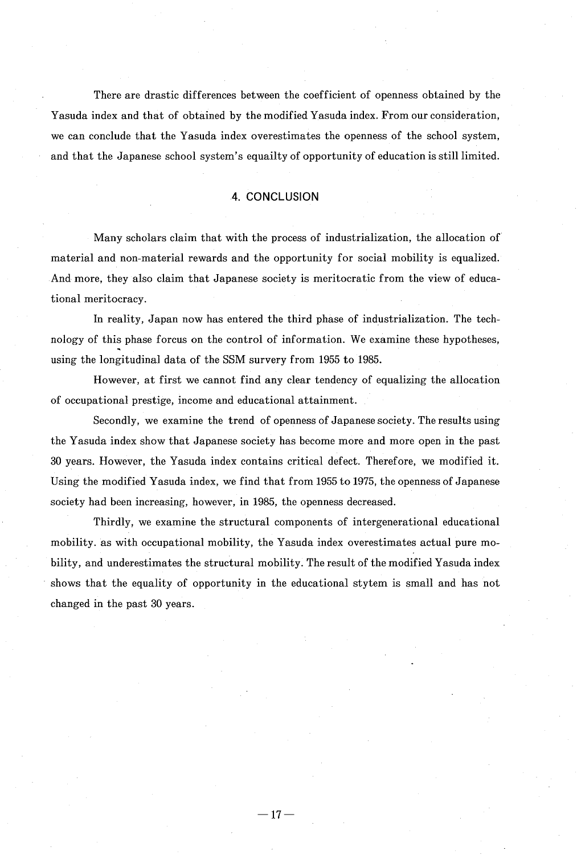There are drastic differences between the coefficient of openness obtained by the Yasuda index and that of obtained by the modified Yasuda index. From our consideration, we can conclude that the Yasuda index overestimates the openness of the school system, and that the Japanese school system's equailty of opportunity of education is still limited.

#### 4. CONCLUSION

 Many scholars claim that with the process of industrialization, the allocation of material and non-material rewards and the opportunity for social mobility is equalized. And more, they also claim that Japanese society is meritocratic from the view of educational meritocracy.

 In reality, Japan now has entered the third phase of industrialization. The technology of this phase forcus on the control of information. We examine these hypotheses, using the longitudinal data of the SSM survery from 1955 to 1985.

However, at first we cannot find any clear tendency of equalizing the allocation of occupational prestige, income and educational attainment.

Secondly, we examine the trend of openness of Japanese society. The results using the Yasuda index show that Japanese society has become more and more open in the past 30 years. However, the Yasuda index contains critical defect. Therefore, we modified it. Using the modified Yasuda index, we find that from 1955 to 1975, the openness of Japanese society had been increasing, however, in 1985, the openness decreased.

Thirdly, we examine the structural components of intergenerational educational mobility. as with occupational mobility, the Yasuda index overestimates actual pure mobility, and underestimates the structural mobility. The result of the modified Yasuda index shows that the equality of opportunity in the educational stytem is small and has not changed in the past 30 years.

 $-17-$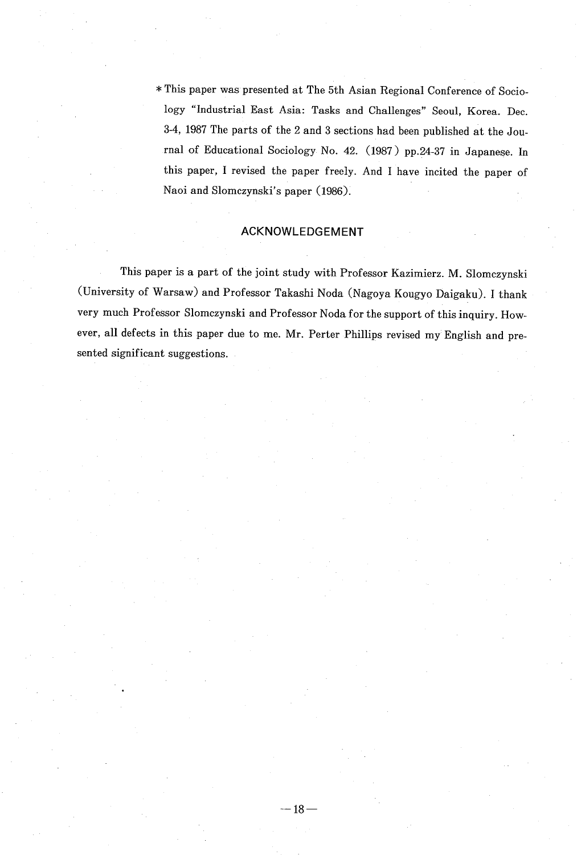This paper was presented at The 5th Asian Regional Conference of Sociology "Industrial East Asia: Tasks and Challenges" Seoul , Korea. Dec. 3-4, 1987 The parts of the 2 and 3 sections had been published at the Journal of Educational Sociology No. 42. (1987 ) pp.24-37 in Japanese . In this paper, I revised the paper freely. And I have incited the paper of Naoi and Slomezynski's paper (1986).

#### ACKNOWLEDGEMENT

 This paper is a part of the joint study with Professor Kazimierz . M. Slomczynski (University of Warsaw) and Professor Takashi Noda (Nagoya Kougyo Daigaku). I thank very much Professor Slomczynski and Professor Noda for the support of this inquiry . However, all defects in this paper due to me. Mr. Perter Phillips revised my English and presented significant suggestions.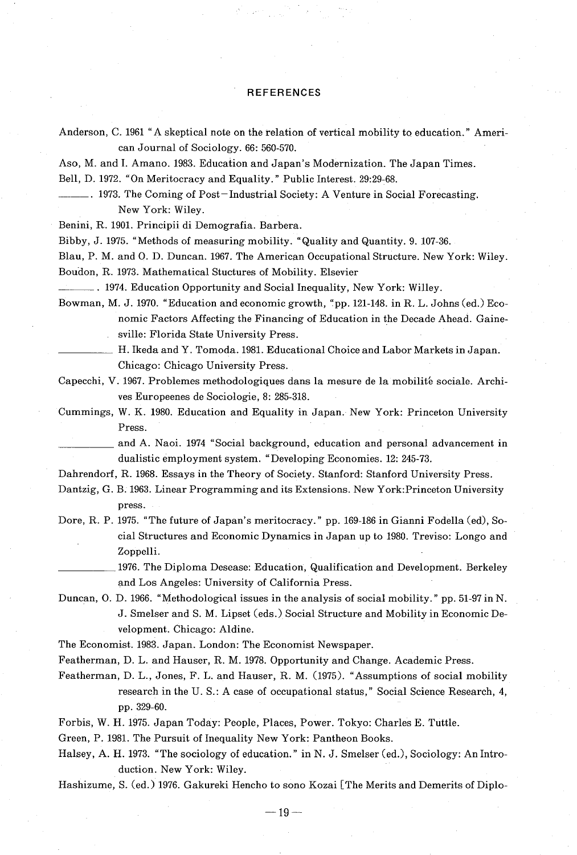#### **REFERENCES**

Anderson, C. 1961 "A skeptical note on the relation of vertical mobility to education." American Journal of Sociology. 66: 560-570.

Aso, M. and 1. Amano. 1983. Education and Japan's Modernization. The Japan Times.

Bell, D. 1972. "On Meritocracy and Equality." Public Interest. 29:29-68.

1973. The Coming of Post-Industrial Society: A Venture in Social Forecasting. New York: Wiley.

Benini, R. 1901. Principii di Demografia. Barbera.

Bibby, J. 1975. "Methods of measuring mobility. "Quality and Quantity. 9. 107-36.

Blau, P. M. and 0. D. Duncan. 1967. The American Occupational Structure. New York: Wiley. Boudon, R. 1973. Mathematical Stuctures of Mobility. Elsevier

. 1974. Education Opportunity and Social Inequality, New York: Willey.

Bowman, M. J. 1970. "Education and economic growth, "pp. 121-148. in R. L. Johns (ed.) Economic Factors Affecting the Financing of Education in the Decade Ahead. Gainesville: Florida State University Press.

H. Ikeda and Y. Tomoda. 1981. Educational Choice and Labor Markets in Japan. Chicago: Chicago University Press.

Capecchi, V. 1967. Problemes methodologiques dans la mesure de la mobilité sociale. Archives Europeenes do Sociologie, 8: 285-318.

Cummings, W. K. 1980. Education and Equality in Japan. New York: Princeton University Press.

 and A. Naoi. 1974 "Social background, education and personal advancement in dualistic employment system. "Developing Economies. 12: 245-73.

Dahrendorf, R. 1968. Essays in the Theory of Society. Stanford: Stanford University Press.

- Dantzig, G. B. 1963. Linear Programming and its Extensions. New York:Princeton University press.
- Dore, R. P. 1975. "The future of Japan's meritocracy. " pp. 169-186 in Gianni Fodella (ed), Social Structures and Economic Dynamics in Japan up to 1980. Treviso: Longo and Zoppelli.
	- 1976. The Diploma Desease: Education, Qualification and Development. Berkeley and Los Angeles: University of California Press.

Duncan, 0. D. 1966. "Methodological issues in the analysis of social mobility. " pp. 51-97 in N. J. Smelser and S. M. Lipset (eds.) Social Structure and Mobility in Economic Development. Chicago: Aldine.

The Economist. 1983. Japan. London: The Economist Newspaper.

Featherman, D. L. and Hauser, R. M. 1978. Opportunity and Change. Academic Press.

Featherman, D. L., Jones, F. L. and Hauser, R. M. (1975). "Assumptions of social mobility research in the U. S.: A case of occupational status," Social Science Research, 4, pp. 329-60.

Forbis, W. H. 1975. Japan Today: People, Places, Power. Tokyo: Charles E. Tuttle.

Green, P. 1981. The Pursuit of Inequality New York: Pantheon Books.

Halsey, A. H. 1973. "The sociology of education. " in N. J. Smelser (ed.), Sociology: An Introduction. New York: Wiley.

Hashizurne, S. (ed.) 1976. Gakureki Hencho to sono Kozai [The Merits and Demerits of Diplo-